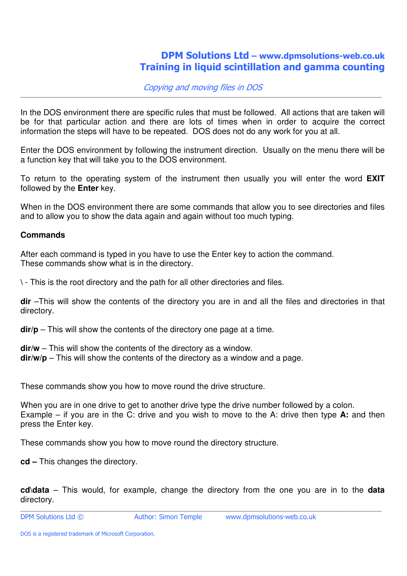# DPM Solutions Ltd – www.dpmsolutions-web.co.uk Training in liquid scintillation and gamma counting

#### Copying and moving files in DOS \_\_\_\_\_\_\_\_\_\_\_\_\_\_\_\_\_\_\_\_\_\_\_\_\_\_\_\_\_\_\_\_\_\_\_\_\_\_\_\_\_\_\_\_\_\_\_\_\_\_\_\_\_\_\_\_\_\_\_\_\_\_\_\_\_\_\_\_\_\_\_\_\_\_\_\_\_\_\_\_\_\_\_\_\_\_\_\_\_\_\_\_\_\_\_\_\_\_\_\_\_\_\_\_\_\_\_\_\_\_\_\_\_\_\_\_\_\_\_\_\_\_\_\_\_\_\_\_\_\_\_\_

In the DOS environment there are specific rules that must be followed. All actions that are taken will be for that particular action and there are lots of times when in order to acquire the correct information the steps will have to be repeated. DOS does not do any work for you at all.

Enter the DOS environment by following the instrument direction. Usually on the menu there will be a function key that will take you to the DOS environment.

To return to the operating system of the instrument then usually you will enter the word **EXIT** followed by the **Enter** key.

When in the DOS environment there are some commands that allow you to see directories and files and to allow you to show the data again and again without too much typing.

### **Commands**

After each command is typed in you have to use the Enter key to action the command. These commands show what is in the directory.

**\** - This is the root directory and the path for all other directories and files.

**dir** –This will show the contents of the directory you are in and all the files and directories in that directory.

**dir/p** – This will show the contents of the directory one page at a time.

**dir/w** – This will show the contents of the directory as a window. **dir/w/p** – This will show the contents of the directory as a window and a page.

These commands show you how to move round the drive structure.

When you are in one drive to get to another drive type the drive number followed by a colon. Example – if you are in the C: drive and you wish to move to the A: drive then type **A:** and then press the Enter key.

These commands show you how to move round the directory structure.

**cd –** This changes the directory.

**cd\data** – This would, for example, change the directory from the one you are in to the **data** directory.